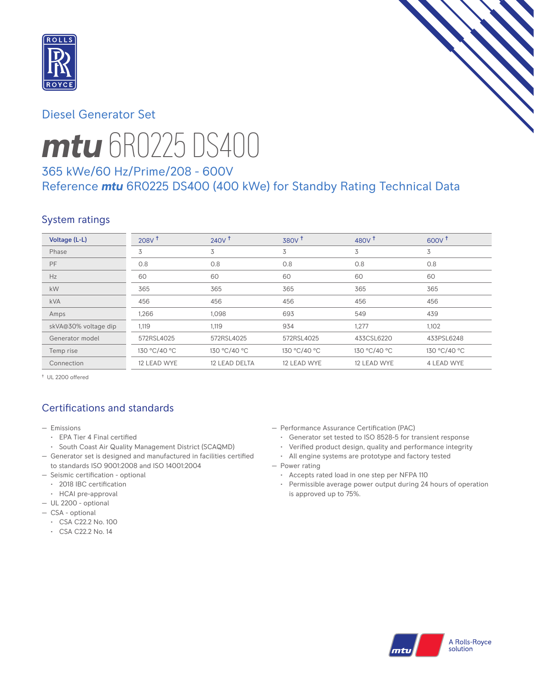

## Diesel Generator Set



# *mtu* 6R0225 DS400

## 365 kWe/60 Hz/Prime/208 - 600V Reference *mtu* 6R0225 DS400 (400 kWe) for Standby Rating Technical Data

## System ratings

| Voltage (L-L)        | 208V <sup>†</sup> | 240V <sup>†</sup> | 380V <sup>†</sup> | 480 $V†$     | $600V^{\dagger}$ |
|----------------------|-------------------|-------------------|-------------------|--------------|------------------|
| Phase                | 3                 | 3                 | 3                 | 3            | 3                |
| PF                   | 0.8               | 0.8               | 0.8               | 0.8          | 0.8              |
| Hz                   | 60                | 60                | 60                | 60           | 60               |
| kW                   | 365               | 365               | 365               | 365          | 365              |
| <b>kVA</b>           | 456               | 456               | 456               | 456          | 456              |
| Amps                 | 1,266             | 1,098             | 693               | 549          | 439              |
| skVA@30% voltage dip | 1,119             | 1,119             | 934               | 1,277        | 1,102            |
| Generator model      | 572RSL4025        | 572RSL4025        | 572RSL4025        | 433CSL6220   | 433PSL6248       |
| Temp rise            | 130 °C/40 °C      | 130 °C/40 °C      | 130 °C/40 °C      | 130 °C/40 °C | 130 °C/40 °C     |
| Connection           | 12 LEAD WYE       | 12 LEAD DELTA     | 12 LEAD WYE       | 12 LEAD WYE  | 4 LEAD WYE       |

† UL 2200 offered

## Certifications and standards

- Emissions
	- EPA Tier 4 Final certified
- South Coast Air Quality Management District (SCAQMD)
- Generator set is designed and manufactured in facilities certified to standards ISO 9001:2008 and ISO 14001:2004
- Seismic certification optional
- 2018 IBC certification
- HCAI pre-approval
- UL 2200 optional
- CSA optional
	- CSA C22.2 No. 100
	- CSA C22.2 No. 14
- Performance Assurance Certification (PAC)
	- Generator set tested to ISO 8528-5 for transient response
- Verified product design, quality and performance integrity
- All engine systems are prototype and factory tested
- Power rating
	- Accepts rated load in one step per NFPA 110
	- Permissible average power output during 24 hours of operation is approved up to 75%.

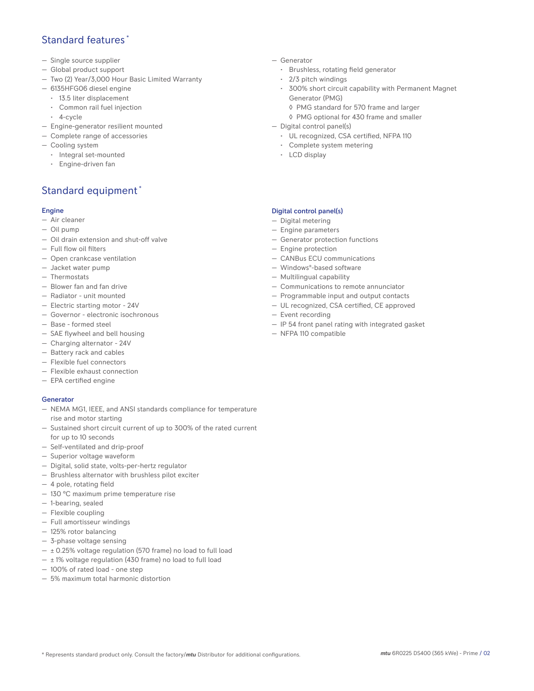## Standard features \*

- Single source supplier
- Global product support
- Two (2) Year/3,000 Hour Basic Limited Warranty
- 6135HFG06 diesel engine
	- 13.5 liter displacement
	- Common rail fuel injection
	- 4-cycle
- Engine-generator resilient mounted
- Complete range of accessories
- Cooling system
- Integral set-mounted
	- Engine-driven fan

## Standard equipment \*

#### Engine

- Air cleaner
- Oil pump
- Oil drain extension and shut-off valve
- Full flow oil filters
- Open crankcase ventilation
- Jacket water pump
- Thermostats
- Blower fan and fan drive
- Radiator unit mounted
- Electric starting motor 24V
- Governor electronic isochronous
- Base formed steel
- SAE flywheel and bell housing
- Charging alternator 24V
- Battery rack and cables
- Flexible fuel connectors
- Flexible exhaust connection
- EPA certified engine

#### **Generator**

- NEMA MG1, IEEE, and ANSI standards compliance for temperature rise and motor starting
- Sustained short circuit current of up to 300% of the rated current for up to 10 seconds
- Self-ventilated and drip-proof
- Superior voltage waveform
- Digital, solid state, volts-per-hertz regulator
- Brushless alternator with brushless pilot exciter
- 4 pole, rotating field
- 130 °C maximum prime temperature rise
- 1-bearing, sealed
- Flexible coupling
- Full amortisseur windings
- 125% rotor balancing
- 3-phase voltage sensing
- $\pm$  0.25% voltage regulation (570 frame) no load to full load
- $\pm$  1% voltage regulation (430 frame) no load to full load
- 100% of rated load one step
- 5% maximum total harmonic distortion
- Generator
	- Brushless, rotating field generator
	- 2/3 pitch windings
	- 300% short circuit capability with Permanent Magnet Generator (PMG)
		- ◊ PMG standard for 570 frame and larger
		- ◊ PMG optional for 430 frame and smaller
- Digital control panel(s)
	- UL recognized, CSA certified, NFPA 110
	- Complete system metering
	- LCD display

#### Digital control panel(s)

- Digital metering
- Engine parameters
- Generator protection functions
- Engine protection
- CANBus ECU communications
- Windows®-based software
- Multilingual capability
- Communications to remote annunciator
- Programmable input and output contacts
- UL recognized, CSA certified, CE approved
- Event recording
- IP 54 front panel rating with integrated gasket
- NFPA 110 compatible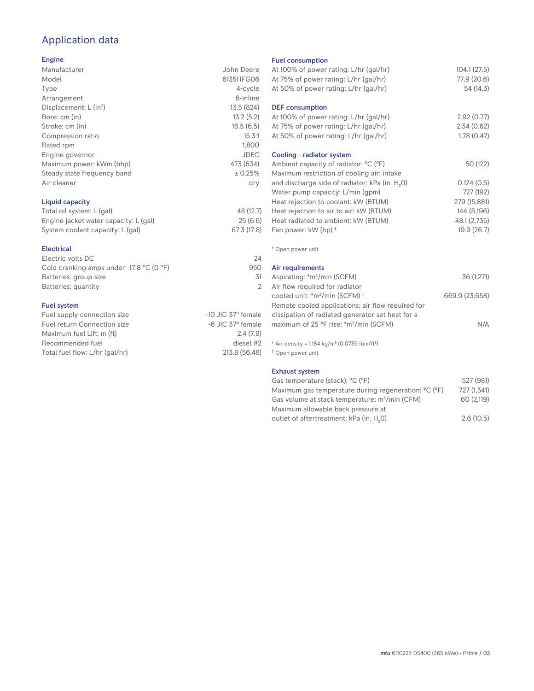## Application data

#### Engine

| Manufacturer                | John Deere  |
|-----------------------------|-------------|
| Model                       | 6135HFG06   |
| Type                        | 4-cycle     |
| Arrangement                 | 6-inline    |
| Displacement: $L (in3)$     | 13.5 (824)  |
| Bore: cm (in)               | 13.2(5.2)   |
| Stroke: cm (in)             | 16.5(6.5)   |
| Compression ratio           | 15.3:1      |
| Rated rpm                   | 1,800       |
| Engine governor             | <b>JDEC</b> |
| Maximum power: kWm (bhp)    | 473 (634)   |
| Steady state frequency band | ± 0.25%     |
| Air cleaner                 | dry         |
|                             |             |
|                             |             |

#### Liquid capacity

| Total oil system: L (gal)             | 48 (12.7)   |
|---------------------------------------|-------------|
| Engine jacket water capacity: L (gal) | 25(6.6)     |
| System coolant capacity: L (gal)      | 67.3 (17.8) |

#### Electrical

| Electric volts DC                                            | 24  |
|--------------------------------------------------------------|-----|
| Cold cranking amps under -17.8 $^{\circ}$ C (O $^{\circ}$ F) | 950 |
| Batteries: group size                                        | 31  |
| Batteries: quantity                                          |     |
|                                                              |     |

#### Fuel system

| Fuel supply connection size    | $-10$ JIC 37 $\degree$ female |
|--------------------------------|-------------------------------|
| Fuel return Connection size    | $-6$ JIC 37 $^{\circ}$ female |
| Maximum fuel Lift: m (ft)      | 2.4(7.9)                      |
| Recommended fuel               | diesel #2                     |
| Total fuel flow: L/hr (gal/hr) | 213.8 (56.48)                 |
|                                |                               |

#### Fuel consumption

| Fuel consumption<br>At 100% of power rating: L/hr (gal/hr)<br>At 75% of power rating: L/hr (gal/hr)<br>At 50% of power rating: L/hr (gal/hr)                                                                                                                                                              | 104.1(27.5)<br>77.9 (20.6)<br>54 (14.3)                                               |
|-----------------------------------------------------------------------------------------------------------------------------------------------------------------------------------------------------------------------------------------------------------------------------------------------------------|---------------------------------------------------------------------------------------|
| <b>DEF</b> consumption<br>At 100% of power rating: L/hr (gal/hr)                                                                                                                                                                                                                                          | 2.92(0.77)                                                                            |
| At 75% of power rating: L/hr (gal/hr)<br>At 50% of power rating: L/hr (gal/hr)                                                                                                                                                                                                                            | 2.34(0.62)<br>1.78(0.47)                                                              |
| Cooling - radiator system<br>Ambient capacity of radiator: °C (°F)                                                                                                                                                                                                                                        | 50 (122)                                                                              |
| Maximum restriction of cooling air: intake<br>and discharge side of radiator: kPa (in. H <sub>2</sub> O)<br>Water pump capacity: L/min (gpm)<br>Heat rejection to coolant: kW (BTUM)<br>Heat rejection to air to air: kW (BTUM)<br>Heat radiated to ambient: kW (BTUM)<br>Fan power: kW (hp) <sup>+</sup> | 0.124(0.5)<br>727 (192)<br>279 (15,881)<br>144 (8,196)<br>48.1 (2,735)<br>19.9 (26.7) |
| <sup>†</sup> Open power unit                                                                                                                                                                                                                                                                              |                                                                                       |
| Air requirements<br>Aspirating: *m <sup>3</sup> /min (SCFM)<br>Air flow required for radiator                                                                                                                                                                                                             | 36 (1,271)                                                                            |
| cooled unit: *m <sup>3</sup> /min (SCFM) <sup>+</sup><br>Remote cooled applications; air flow required for<br>dissipation of radiated generator set heat for a<br>maximum of 25 °F rise: *m <sup>3</sup> /min (SCFM)                                                                                      | 669.9 (23,658)<br>N/A                                                                 |
| * Air density = 1.184 kg/m <sup>3</sup> (0.0739 lbm/ft <sup>3</sup> )<br><sup>†</sup> Open power unit                                                                                                                                                                                                     |                                                                                       |
| <b>Exhaust system</b><br>Gas temperature (stack): °C (°F)<br>Maximum gas temperature during regeneration: °C (°F)                                                                                                                                                                                         | 527 (981)<br>727 (1,341)                                                              |

Gas volume at stack temperature: m<sup>3</sup>/min (CFM) 60 (2,119)

Maximum allowable back pressure at outlet of aftertreatment: kPa (in.  $H_2$ 0)

0) 2.6 (10.5)